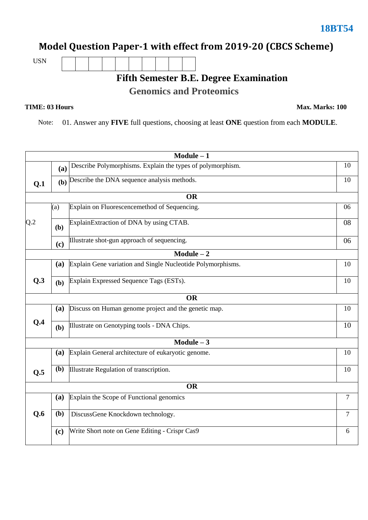## **Model Question Paper-1 with effect from 2019-20 (CBCS Scheme)**

USN

## **Fifth Semester B.E. Degree Examination**

**Genomics and Proteomics**

**TIME: 03 Hours Max. Marks: 100**

Note: 01. Answer any **FIVE** full questions, choosing at least **ONE** question from each **MODULE**.

|     |           | $Module - 1$                                                |    |  |  |  |
|-----|-----------|-------------------------------------------------------------|----|--|--|--|
|     | (a)       | Describe Polymorphisms. Explain the types of polymorphism.  | 10 |  |  |  |
| Q.1 |           | (b) Describe the DNA sequence analysis methods.             | 10 |  |  |  |
|     |           | <b>OR</b>                                                   |    |  |  |  |
|     | (a)       | Explain on Fluorescencemethod of Sequencing.                | 06 |  |  |  |
| Q.2 | (b)       | ExplainExtraction of DNA by using CTAB.                     | 08 |  |  |  |
|     | (c)       | Illustrate shot-gun approach of sequencing.                 | 06 |  |  |  |
|     |           | $Module - 2$                                                |    |  |  |  |
|     | (a)       | Explain Gene variation and Single Nucleotide Polymorphisms. | 10 |  |  |  |
| Q.3 | (b)       | Explain Expressed Sequence Tags (ESTs).                     | 10 |  |  |  |
|     | <b>OR</b> |                                                             |    |  |  |  |
|     | (a)       | Discuss on Human genome project and the genetic map.        | 10 |  |  |  |
| Q.4 | (b)       | Illustrate on Genotyping tools - DNA Chips.                 | 10 |  |  |  |
|     |           | Module $-3$                                                 |    |  |  |  |
|     | (a)       | Explain General architecture of eukaryotic genome.          | 10 |  |  |  |
| Q.5 | (b)       | Illustrate Regulation of transcription.                     | 10 |  |  |  |
|     |           | <b>OR</b>                                                   |    |  |  |  |
|     | (a)       | Explain the Scope of Functional genomics                    | 7  |  |  |  |
| Q.6 | (b)       | DiscussGene Knockdown technology.                           | 7  |  |  |  |
|     | (c)       | Write Short note on Gene Editing - Crispr Cas9              | 6  |  |  |  |
|     |           |                                                             |    |  |  |  |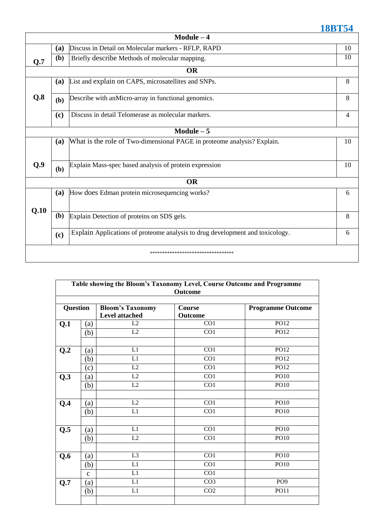|      |            | $Module - 4$                                                                  |    |
|------|------------|-------------------------------------------------------------------------------|----|
|      | (a)        | Discuss in Detail on Molecular markers - RFLP, RAPD                           | 10 |
| Q.7  | (b)        | Briefly describe Methods of molecular mapping.                                | 10 |
|      |            | <b>OR</b>                                                                     |    |
|      | <b>(a)</b> | List and explain on CAPS, microsatellites and SNPs.                           | 8  |
| Q.8  | (b)        | Describe with anMicro-array in functional genomics.                           | 8  |
|      | (c)        | Discuss in detail Telomerase as molecular markers.                            | 4  |
|      |            | Module $-5$                                                                   |    |
|      | (a)        | What is the role of Two-dimensional PAGE in proteome analysis? Explain.       | 10 |
| Q.9  | (b)        | Explain Mass-spec based analysis of protein expression                        | 10 |
|      |            | <b>OR</b>                                                                     |    |
|      | (a)        | How does Edman protein microsequencing works?                                 | 6  |
| Q.10 | (b)        | Explain Detection of proteins on SDS gels.                                    | 8  |
|      | (c)        | Explain Applications of proteome analysis to drug development and toxicology. | 6  |
|      |            | **********************************                                            |    |

| Table showing the Bloom's Taxonomy Level, Course Outcome and Programme<br><b>Outcome</b> |              |                                           |                                 |                          |  |
|------------------------------------------------------------------------------------------|--------------|-------------------------------------------|---------------------------------|--------------------------|--|
| <b>Question</b>                                                                          |              | <b>Bloom's Taxonomy</b><br>Level attached | <b>Course</b><br><b>Outcome</b> | <b>Programme Outcome</b> |  |
| Q.1                                                                                      | (a)          | L2                                        | CO1                             | PO12                     |  |
|                                                                                          | (b)          | L2                                        | CO1                             | PO12                     |  |
| Q <sub>.2</sub>                                                                          | (a)          | L1                                        | CO1                             | PO12                     |  |
|                                                                                          | (b)          | L1                                        | $\overline{CO1}$                | P <sub>012</sub>         |  |
|                                                                                          | (c)          | L2                                        | CO1                             | PO12                     |  |
| Q.3                                                                                      | (a)          | L2                                        | CO1                             | <b>PO10</b>              |  |
|                                                                                          | (b)          | L2                                        | CO1                             | PO10                     |  |
| Q.4                                                                                      | (a)          | L2                                        | CO1                             | <b>PO10</b>              |  |
|                                                                                          | (b)          | $\overline{L1}$                           | $\overline{CO1}$                | PO10                     |  |
| Q.5                                                                                      | (a)          | L1                                        | CO1                             | <b>PO10</b>              |  |
|                                                                                          | (b)          | L2                                        | CO1                             | PO10                     |  |
| Q.6                                                                                      | (a)          | L <sub>3</sub>                            | CO1                             | <b>PO10</b>              |  |
|                                                                                          | (b)          | L1                                        | CO1                             | <b>PO10</b>              |  |
|                                                                                          | $\mathbf{C}$ | L1                                        | CO <sub>1</sub>                 |                          |  |
| Q.7                                                                                      | (a)          | L1                                        | CO <sub>3</sub>                 | PO <sub>9</sub>          |  |
|                                                                                          | (b)          | $\mathop{\rm L{1}}$                       | CO <sub>2</sub>                 | <b>PO11</b>              |  |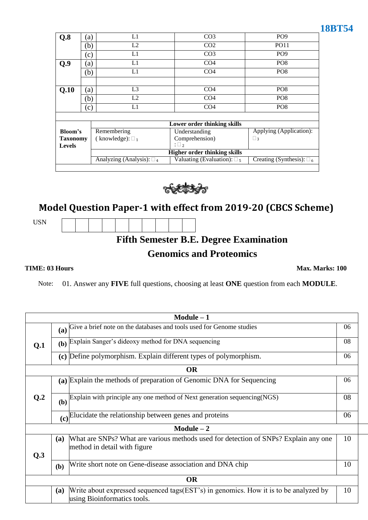| Q.8             | (a)                        | L1                                | CO <sub>3</sub>                     | PO <sub>9</sub>                   |
|-----------------|----------------------------|-----------------------------------|-------------------------------------|-----------------------------------|
|                 | (b)                        | L2                                | CO <sub>2</sub>                     | <b>PO11</b>                       |
|                 | $\left( c\right)$          | L1                                | CO <sub>3</sub>                     | PO <sub>9</sub>                   |
| Q.9             | $\left( a\right)$          | L1                                | CO <sub>4</sub>                     | PO <sub>8</sub>                   |
|                 | (b)                        | L1                                | CO <sub>4</sub>                     | PO <sub>8</sub>                   |
|                 |                            |                                   |                                     |                                   |
| Q.10            | $\left( a\right)$          | L <sub>3</sub>                    | CO <sub>4</sub>                     | PO <sub>8</sub>                   |
|                 | (b)                        | L2                                | CO <sub>4</sub>                     | PO <sub>8</sub>                   |
|                 | $\left( \mathrm{c}\right)$ | L1                                | CO <sub>4</sub>                     | PO <sub>8</sub>                   |
|                 |                            |                                   |                                     |                                   |
|                 |                            |                                   | Lower order thinking skills         |                                   |
| Bloom's         |                            | Remembering                       | Understanding                       | Applying (Application):           |
| <b>Taxonomy</b> |                            | (knowledge): $\square_1$          | Comprehension)                      | $\Box$ 3                          |
| <b>Levels</b>   |                            |                                   | $:\square_2$                        |                                   |
|                 |                            |                                   | <b>Higher order thinking skills</b> |                                   |
|                 |                            | Analyzing (Analysis): $\square_4$ | Valuating (Evaluation): $\square_5$ | Creating (Synthesis): $\square_6$ |



## **Model Question Paper-1 with effect from 2019-20 (CBCS Scheme)**

USN

**Fifth Semester B.E. Degree Examination** 

## **Genomics and Proteomics**

**TIME: 03 Hours Max. Marks: 100**

Note: 01. Answer any **FIVE** full questions, choosing at least **ONE** question from each **MODULE**.

|     | $Module - 1$                                                                                                                      |    |  |  |
|-----|-----------------------------------------------------------------------------------------------------------------------------------|----|--|--|
|     | (a) Give a brief note on the databases and tools used for Genome studies                                                          | 06 |  |  |
| Q.1 | Explain Sanger's dideoxy method for DNA sequencing<br>(b)                                                                         | 08 |  |  |
|     | (c) Define polymorphism. Explain different types of polymorphism.                                                                 | 06 |  |  |
|     | OR                                                                                                                                |    |  |  |
|     | (a) Explain the methods of preparation of Genomic DNA for Sequencing                                                              | 06 |  |  |
| Q.2 | Explain with principle any one method of Next generation sequencing(NGS)<br>(b)                                                   | 08 |  |  |
|     | Elucidate the relationship between genes and proteins<br>(c)                                                                      | 06 |  |  |
|     | $Module - 2$                                                                                                                      |    |  |  |
| Q.3 | What are SNPs? What are various methods used for detection of SNPs? Explain any one<br>(a)<br>method in detail with figure        | 10 |  |  |
|     | Write short note on Gene-disease association and DNA chip<br>(b)                                                                  | 10 |  |  |
|     | OR                                                                                                                                |    |  |  |
|     | Write about expressed sequenced tags(EST's) in genomics. How it is to be analyzed by<br><b>(a)</b><br>using Bioinformatics tools. | 10 |  |  |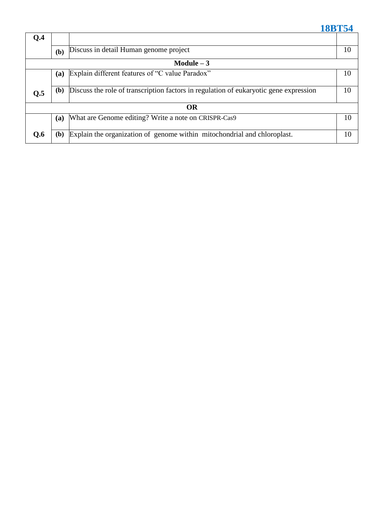| Q <sub>4</sub> |              |                                                                                       |    |
|----------------|--------------|---------------------------------------------------------------------------------------|----|
|                | (b)          | Discuss in detail Human genome project                                                | 10 |
|                |              | Module $-3$                                                                           |    |
|                | (a)          | Explain different features of "C value Paradox"                                       | 10 |
| Q.5            | ( <b>b</b> ) | Discuss the role of transcription factors in regulation of eukaryotic gene expression | 10 |
|                |              | <b>OR</b>                                                                             |    |
|                | (a)          | What are Genome editing? Write a note on CRISPR-Cas9                                  | 10 |
| Q.6            | ( <b>b</b> ) | Explain the organization of genome within mitochondrial and chloroplast.              | 10 |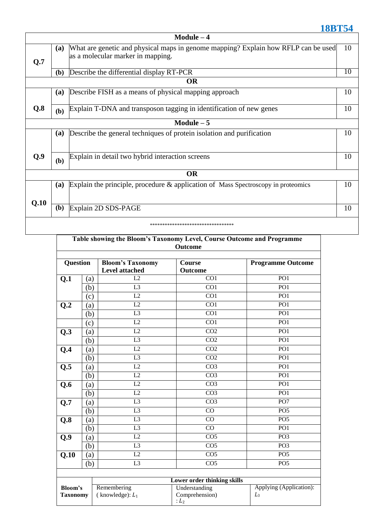|      |             | $Module - 4$                                                                                                            |    |  |  |  |  |
|------|-------------|-------------------------------------------------------------------------------------------------------------------------|----|--|--|--|--|
| Q.7  | (a)         | What are genetic and physical maps in genome mapping? Explain how RFLP can be used<br>as a molecular marker in mapping. | 10 |  |  |  |  |
|      | (b)         | Describe the differential display RT-PCR                                                                                | 10 |  |  |  |  |
|      |             | <b>OR</b>                                                                                                               |    |  |  |  |  |
|      | (a)         | Describe FISH as a means of physical mapping approach                                                                   | 10 |  |  |  |  |
| Q.8  | (b)         | Explain T-DNA and transposon tagging in identification of new genes                                                     | 10 |  |  |  |  |
|      | Module $-5$ |                                                                                                                         |    |  |  |  |  |
|      | (a)         | Describe the general techniques of protein isolation and purification                                                   | 10 |  |  |  |  |
| Q.9  | (b)         | Explain in detail two hybrid interaction screens                                                                        | 10 |  |  |  |  |
|      |             | <b>OR</b>                                                                                                               |    |  |  |  |  |
|      | (a)         | Explain the principle, procedure $\&$ application of Mass Spectroscopy in proteomics                                    | 10 |  |  |  |  |
| Q.10 | (b)         | Explain 2D SDS-PAGE                                                                                                     | 10 |  |  |  |  |
|      |             | ***********************************                                                                                     |    |  |  |  |  |

| Table showing the Bloom's Taxonomy Level, Course Outcome and Programme<br><b>Outcome</b> |                   |                                                  |                                           |                                  |  |
|------------------------------------------------------------------------------------------|-------------------|--------------------------------------------------|-------------------------------------------|----------------------------------|--|
| <b>Question</b>                                                                          |                   | <b>Bloom's Taxonomy</b><br><b>Level attached</b> | Course<br>Outcome                         | <b>Programme Outcome</b>         |  |
| Q.1                                                                                      | $\left( a\right)$ | L2                                               | CO1                                       | PO <sub>1</sub>                  |  |
|                                                                                          | (b)               | L <sub>3</sub>                                   | CO <sub>1</sub>                           | PO <sub>1</sub>                  |  |
|                                                                                          | (c)               | L2                                               | CO <sub>1</sub>                           | PO <sub>1</sub>                  |  |
| Q.2                                                                                      | (a)               | L2                                               | $\overline{CO1}$                          | PO1                              |  |
|                                                                                          | (b)               | L <sub>3</sub>                                   | CO1                                       | PO1                              |  |
|                                                                                          | (c)               | $\overline{L2}$                                  | $\overline{CO1}$                          | $\overline{PO1}$                 |  |
| Q.3                                                                                      | (a)               | L2                                               | CO <sub>2</sub>                           | PO <sub>1</sub>                  |  |
|                                                                                          | (b)               | L <sub>3</sub>                                   | $\overline{CO2}$                          | $\overline{PO1}$                 |  |
| Q.4                                                                                      | (a)               | L2                                               | CO <sub>2</sub>                           | PO <sub>1</sub>                  |  |
|                                                                                          | (b)               | L <sub>3</sub>                                   | $\overline{CO2}$                          | PO1                              |  |
| Q.5                                                                                      | (a)               | L2                                               | CO <sub>3</sub>                           | PO <sub>1</sub>                  |  |
|                                                                                          | (b)               | L2                                               | CO <sub>3</sub>                           | PO <sub>1</sub>                  |  |
| Q.6                                                                                      | (a)               | $\overline{L2}$                                  | CO <sub>3</sub>                           | PO1                              |  |
|                                                                                          | (b)               | L2                                               | CO <sub>3</sub>                           | PO <sub>1</sub>                  |  |
| Q.7                                                                                      | (a)               | $\overline{L3}$                                  | CO <sub>3</sub>                           | $\overline{PO7}$                 |  |
|                                                                                          | (b)               | L <sub>3</sub>                                   | CO                                        | PO <sub>5</sub>                  |  |
| Q.8                                                                                      | (a)               | $\overline{L3}$                                  | CO                                        | $\overline{PO5}$                 |  |
|                                                                                          | (b)               | L <sub>3</sub>                                   | CO                                        | PO <sub>1</sub>                  |  |
| Q.9                                                                                      | (a)               | L2                                               | CO <sub>5</sub>                           | PO <sub>3</sub>                  |  |
|                                                                                          | (b)               | $\overline{L3}$                                  | CO <sub>5</sub>                           | PO3                              |  |
| Q.10                                                                                     | (a)               | L2                                               | CO <sub>5</sub>                           | PO <sub>5</sub>                  |  |
|                                                                                          | (b)               | $\overline{L3}$                                  | $\overline{CO5}$                          | PO <sub>5</sub>                  |  |
|                                                                                          |                   |                                                  |                                           |                                  |  |
|                                                                                          |                   |                                                  | <b>Lower order thinking skills</b>        |                                  |  |
| Bloom's<br><b>Taxonomy</b>                                                               |                   | Remembering<br>(knowledge): $L_1$                | Understanding<br>Comprehension)<br>$:L_2$ | Applying (Application):<br>$L_3$ |  |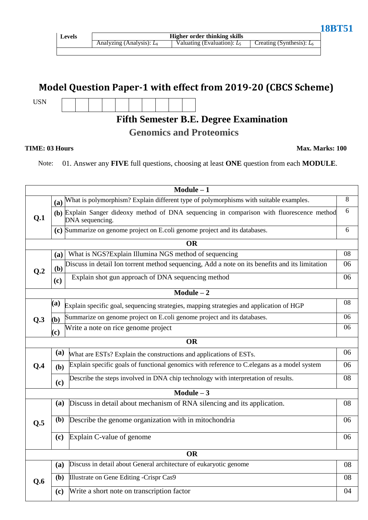| ٠ | O<br>$\bullet$ $\bullet$ | 1 M 1 |  |  |
|---|--------------------------|-------|--|--|
|   |                          |       |  |  |

## **Model Question Paper-1 with effect from 2019-20 (CBCS Scheme)**

USN

# **Fifth Semester B.E. Degree Examination**

**Genomics and Proteomics**

### **TIME: 03 Hours Max. Marks: 100**

Note: 01. Answer any **FIVE** full questions, choosing at least **ONE** question from each **MODULE**.

|                |              | $Module - 1$                                                                                                  |    |
|----------------|--------------|---------------------------------------------------------------------------------------------------------------|----|
|                |              | (a) What is polymorphism? Explain different type of polymorphisms with suitable examples.                     | 8  |
| Q.1            |              | (b) Explain Sanger dideoxy method of DNA sequencing in comparison with fluorescence method<br>DNA sequencing. | 6  |
|                |              | (c) Summarize on genome project on E.coli genome project and its databases.                                   | 6  |
|                |              | <b>OR</b>                                                                                                     |    |
|                | <b>(a)</b>   | What is NGS? Explain Illumina NGS method of sequencing                                                        | 08 |
| Q <sub>0</sub> | (b)          | Discuss in detail Ion torrent method sequencing, Add a note on its benefits and its limitation                | 06 |
|                | (c)          | Explain shot gun approach of DNA sequencing method                                                            | 06 |
|                |              | $Module - 2$                                                                                                  |    |
|                | (a)          | Explain specific goal, sequencing strategies, mapping strategies and application of HGP                       | 08 |
| Q.3            | $\mathbf{b}$ | Summarize on genome project on E.coli genome project and its databases.                                       | 06 |
|                | (c)          | Write a note on rice genome project                                                                           | 06 |
|                |              | <b>OR</b>                                                                                                     |    |
|                | (a)          | What are ESTs? Explain the constructions and applications of ESTs.                                            | 06 |
| Q.4            | (b)          | Explain specific goals of functional genomics with reference to C.elegans as a model system                   | 06 |
|                | (c)          | Describe the steps involved in DNA chip technology with interpretation of results.                            | 08 |
|                |              | Module $-3$                                                                                                   |    |
|                | (a)          | Discuss in detail about mechanism of RNA silencing and its application.                                       | 08 |
| Q.5            | (b)          | Describe the genome organization with in mitochondria                                                         | 06 |
|                | (c)          | Explain C-value of genome                                                                                     | 06 |
|                |              | <b>OR</b>                                                                                                     |    |
|                | (a)          | Discuss in detail about General architecture of eukaryotic genome                                             | 08 |
| Q.6            | (b)          | Illustrate on Gene Editing -Crispr Cas9                                                                       | 08 |
|                | (c)          | Write a short note on transcription factor                                                                    | 04 |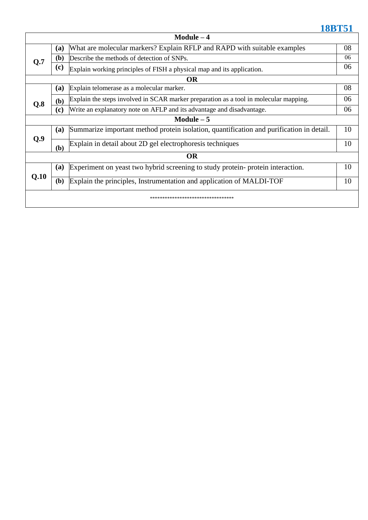|                                     | Module $-4$  |                                                                                          |    |  |  |  |
|-------------------------------------|--------------|------------------------------------------------------------------------------------------|----|--|--|--|
|                                     | (a)          | What are molecular markers? Explain RFLP and RAPD with suitable examples                 | 08 |  |  |  |
| Q.7                                 | (b)          | Describe the methods of detection of SNPs.                                               | 06 |  |  |  |
|                                     | (c)          | Explain working principles of FISH a physical map and its application.                   | 06 |  |  |  |
|                                     |              | <b>OR</b>                                                                                |    |  |  |  |
|                                     | (a)          | Explain telomerase as a molecular marker.                                                | 08 |  |  |  |
| Q.8                                 | (b)          | Explain the steps involved in SCAR marker preparation as a tool in molecular mapping.    | 06 |  |  |  |
|                                     | (c)          | Write an explanatory note on AFLP and its advantage and disadvantage.                    | 06 |  |  |  |
|                                     |              | Module $-5$                                                                              |    |  |  |  |
|                                     | (a)          | Summarize important method protein isolation, quantification and purification in detail. | 10 |  |  |  |
| Q.9                                 | (b)          | Explain in detail about 2D gel electrophoresis techniques                                | 10 |  |  |  |
|                                     |              | <b>OR</b>                                                                                |    |  |  |  |
|                                     | (a)          | Experiment on yeast two hybrid screening to study protein-protein interaction.           | 10 |  |  |  |
| Q.10                                | ( <b>b</b> ) | Explain the principles, Instrumentation and application of MALDI-TOF                     | 10 |  |  |  |
| *********************************** |              |                                                                                          |    |  |  |  |